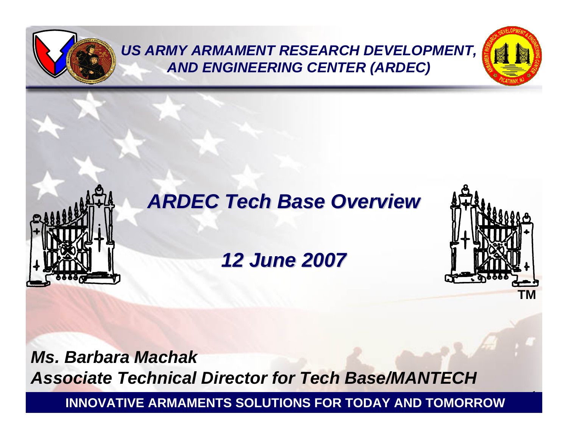

*US ARMY ARMAMENT RESEARCH DEVELOPMENT, AND ENGINEERING CENTER (ARDEC)*



### *ARDEC Tech Base Overview ARDEC Tech Base Overview*

Click to edit Master text styles

*12 June 2007 12 June 2007*



1

*Ms. Barbara MachakAssociate Technical Director for Tech Base/MANTECH* 

**INNOVATIVE ARMAMENTS SOLUTIONS FOR TODAY AND TOMORROW**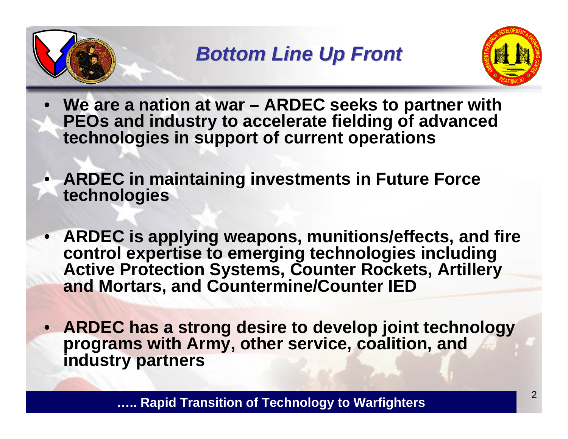



- Click to edit Master text styles **Click to edit Master the Master of We are a nation at war – ARDEC seeks to partner with** •**PEOs and industry to accelerate fielding of advanced technologies in support of current operations**
- •**technologies** • **ARDEC in maintaining investments in Future Force**
- Third level is a set control expertise to emerging technologies including and Mortars, and Countermine/Counter IED • **ARDEC is applying weapons, munitions/effects, and fire Active Protection Systems, Counter Rockets, Artillery**
- **ARDEC has a strong desire to develop joint technology programs with Army, other service, coalition, and industry partners**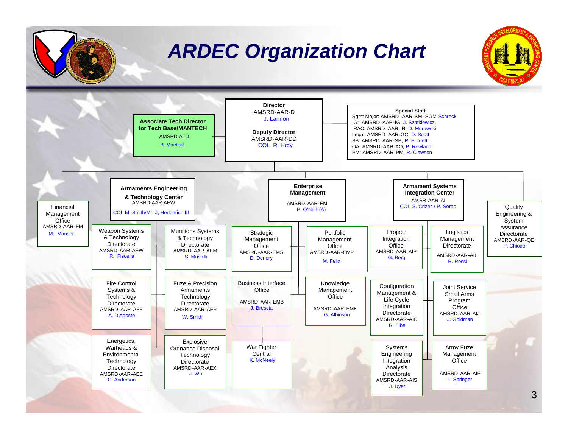### *ARDEC Organization Chart*



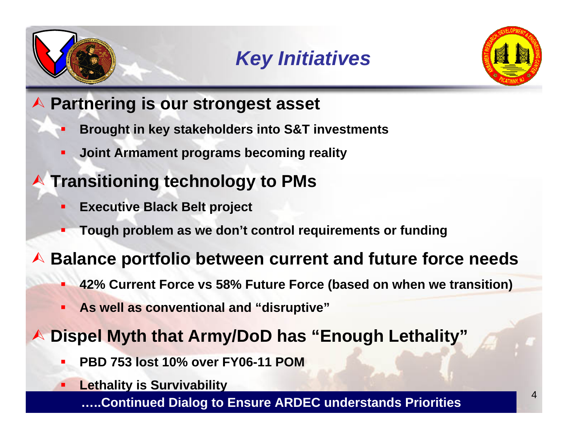

П

П

*Key Initiatives*



4

- **Example 2 and Z Partnering is our strongest asset** 
	- **Brought in key stakeholders into S&T investments**
	- **BED Joint Armament programs becoming reality**

# $\triangle$  Transitioning technology to PMs

- **Executive Black Belt project**
- The level of the contract of the contract of the contract of the contract of the contract of the contract of the contract of the contract of the contract of the contract of the contract of the contract of the contract of t ▉ **Tough problem as we don't control requirements or funding**

### A Balance portfolio between current and future force needs

- **42% Current Force vs 58% Future Force (based on when we transition)** П
- $\blacksquare$ **As well as conventional and "disruptive"**

### ¿ **Dispel Myth that Army/DoD has "Enough Lethality"**

- П **PBD 753 lost 10% over FY06-11 POM**
- П **Lethality is Survivability**

**…..Continued Dialog to Ensure ARDEC understands Priorities**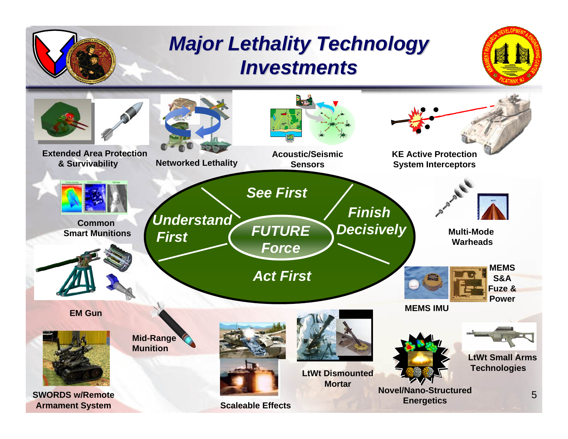#### •**Extended Area ProtectionProtection Retrieve Style Server Server Server Server Server Server Server Server Server Server Server Server Server Server Server Server Server Server Server Server Server Server Server Server Server Server Server Server** •Second level of the second level of the second level of the second level of the second level of the second level of the second level of the second level of the second level of the second level of the second level of the se mmon **Understand** •From the contract of •Figure 1 Click to editor the contract of the state of the state of the state of the state of the state of the state of *FUTURE Force*  **MEMS IMUMulti-ModeWarheads***Major Lethality Technology Major Lethality Technology Investments InvestmentsSee First Act First Finish* **Common Common Common Common Circuit Common Circuit Common Circuit Common Circuit Common Circuit Common Circuit Common Circuit Common Circuit Common Circuit Common Circuit Common Circui Mid-Range MEMSS&AFuze & PowerAcoustic/SeismicSensors***First* **EM Gun& Survivability KE Active Protection System Interceptors**

**Munition**

**SWORDS w/RemoteArmament System**

**Scaleable Effects**

**LtWt Dismounted**

**Mortar**

**Novel/Nano-StructuredEnergetics**

**LtWt Small ArmsTechnologies**

5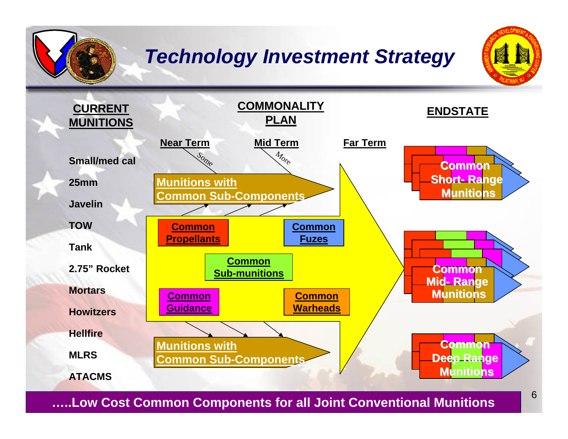# *Technology Investment Strategy*





**…..Low Cost Common Components for all Joint Conventional Munitions**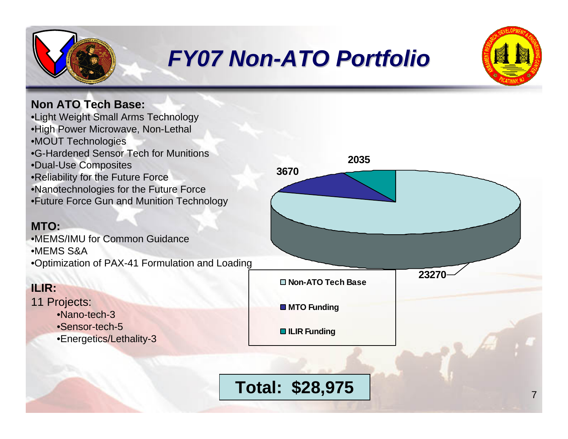

# *FY07 Non FY07 Non-ATO Portfolio ATO Portfolio*



### Click to edit Master the Master title style to edit Master the Master title style style style style style style<br>Tech Base: Williams and Master the Master the Master that the Master the Master the Master the Master the Mast **Non ATO Tech Base:**

- •Light Weight Small Arms Technology
- •High Power Microwave, Non-Lethal
- •MOUT Technologies
- 
- •Dual-Use Composites
- •Reliability for the Future Force
- Nanotechnologies for the Future Force<br>• Nanotechnologies for the Future Force
- •Future Force Gun and Munition Technology

#### **MTO:**

••MEMS S&A $\epsilon$ Fourth levels in  $\epsilon$ •MEMS/IMU for Common Guidance•Optimization of PAX-41 Formulation and Loading

Third level is a set

### **ILIR:**

11 Projects: •Nano-tech-3•Sensor-tech-5•Energetics/Lethality-3



**Total: \$28,975**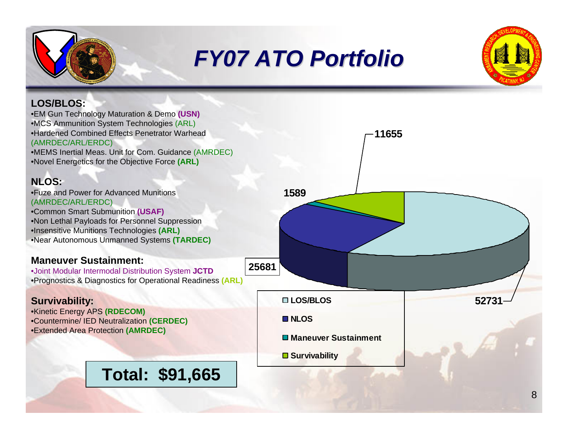

# *FY07 ATO Portfolio FY07 ATO Portfolio*

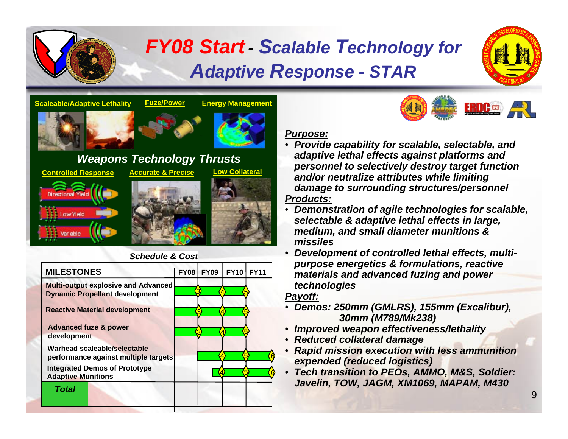

# external control of the Click of the Click of the Click of the Click of the Click of the Click of the Click of the Click of the Click of the Click of the Click of the Click of the Click of the Click of the Click of the Cli *FY08 Start - Scalable Technology for Adaptive Response - STAR*



#### **Scaleable/Adaptive Lethality Fuze/Power Energy Management**





### **Weapons Technology Thrusts**<br> **Collicitude Click to edit in the Master of the Selective Click to the Masser of the Selective**



•

•

Variable



This is a complete the complete of the complete of the complete of the complete of the complete of the complete of the complete of the complete of the complete of the complete of the complete of the complete of the complet



**Schedule & Cost** 



#### *Purpose:*

- • *Provide capability for scalable, selectable, and adaptive lethal effects against platforms and personnel to selectively destroy target function and/or neutralize attributes while limiting damage to surrounding structures/personnel Products:*
- • *Demonstration of agile technologies for scalable, selectable & adaptive lethal effects in large, medium, and small diameter munitions & missiles*
- • *Development of controlled lethal effects, multipurpose energetics & formulations, reactive materials and advanced fuzing and power technologies*

#### *Payoff:*

- • *Demos: 250mm (GMLRS), 155mm (Excalibur), 30mm (M789/Mk238)*
- •*Improved weapon effectiveness/lethality*
- •*Reduced collateral damage*
- • *Rapid mission execution with less ammunition expended (reduced logistics)*
- • *Tech transition to PEOs, AMMO, M&S, Soldier: Javelin, TOW, JAGM, XM1069, MAPAM, M430*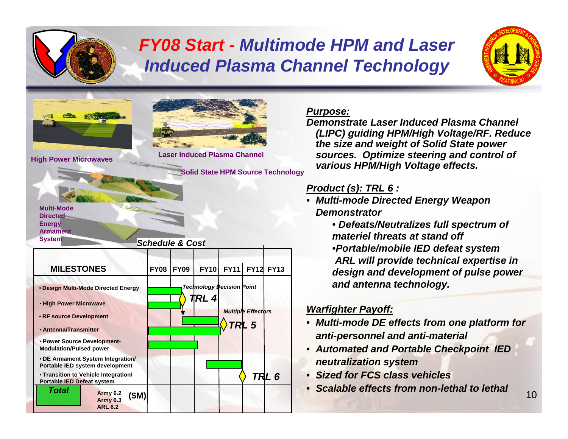### *FY08 Start - Multimode HPM and Laser Induced Plasma Channel Technology*





#### *Purpose:*

*Demonstrate Laser Induced Plasma Channel (LIPC) guiding HPM/High Voltage/RF. Reduce the size and weight of Solid State power sources. Optimize steering and control of various HPM/High Voltage effects.* 

#### *Product (s): TRL 6 :*

- *Multi-mode Directed Energy Weapon Demonstrator*
	- *Defeats/Neutralizes full spectrum of materiel threats at stand off*
	- •*Portable/mobile IED defeat system ARL will provide technical expertise in design and development of pulse power and antenna technology.*

#### *Warfighter Payoff:*

- *Multi-mode DE effects from one platform for anti-personnel and anti-material*
- *Automated and Portable Checkpoint IED neutralization system*
- *Sized for FCS class vehicles*
- *Scalable effects from non-lethal to lethal*

10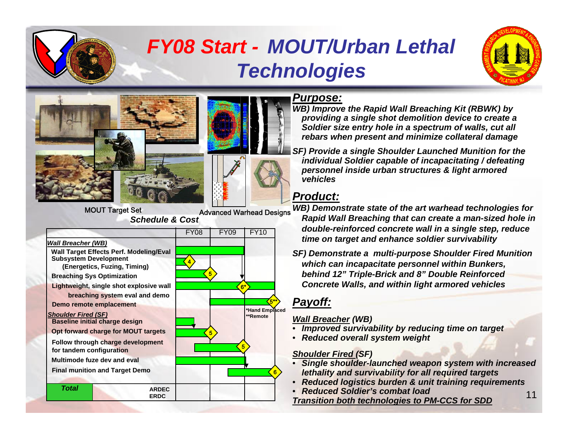

### *FY08 Start - MOUT/Urban Lethal Technologies*





 Third level *Schedule & Cost*MOUT Target Set Advanced Warhead Designs



#### *Purpose:*

- *providing a single shot demolition device to create a Soldier size entry hole in a spectrum of walls, cut all rebars when present and minimize collateral damage*
- SF) Provide a single Shoulder Launched Munition for the<br>individual Soldier capable of incapacitating / defeating *individual Soldier capable of incapacitating / defeating personnel inside urban structures & light armored vehicles*

### *Product:*

- *WB) Demonstrate state of the art warhead technologies for Rapid Wall Breaching that can create a man-sized hole in double-reinforced concrete wall in a single step, reduce time on target and enhance soldier survivability*
- *SF) Demonstrate a multi-purpose Shoulder Fired Munition which can incapacitate personnel within Bunkers, behind 12" Triple-Brick and 8" Double Reinforced Concrete Walls, and within light armored vehicles*

### *Payoff:*

#### *Wall Breacher (WB)*

- •*Improved survivability by reducing time on target*
- *Reduced overall system weight*

#### *Shoulder Fired (SF)*

- • *Single shoulder-launched weapon system with increased lethality and survivability for all required targets*
- *Reduced logistics burden & unit training requirements*
- •*Reduced Soldier's combat load*

*Transition both technologies to PM-CCS for SDD*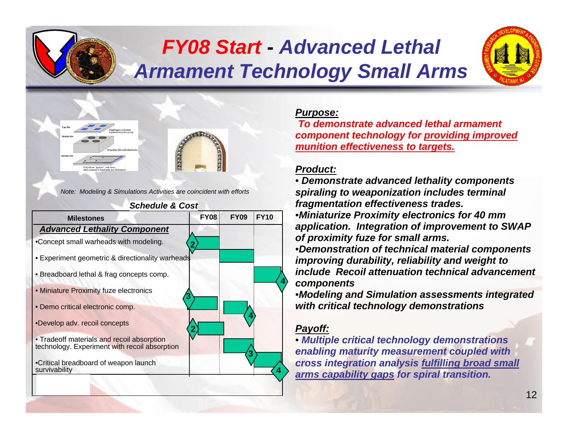# Click to edit Master title style title style title style title style title style title style title style title *FY08 Start* **-** *Advanced Lethal Armament Technology Small Arms*







• Second level *Note: Modeling & Simulations Activities are coincident with efforts*



#### *Schedule & Cost*

#### *Purpose:*

*To demonstrate advanced lethal armament component technology for providing improved munition effectiveness to targets.* 

#### *Product:*

• *Demonstrate advanced lethality components spiraling to weaponization includes terminal fragmentation effectiveness trades.*  •*Miniaturize Proximity electronics for 40 mm application. Integration of improvement to SWAP of proximity fuze for small arms.*

•*Demonstration of technical material components improving durability, reliability and weight to include Recoil attenuation technical advancement components*

•*Modeling and Simulation assessments integrated with critical technology demonstrations*

#### *Payoff:*

• *Multiple critical technology demonstrations enabling maturity measurement coupled with cross integration analysis fulfilling broad small arms capability gaps for spiral transition.*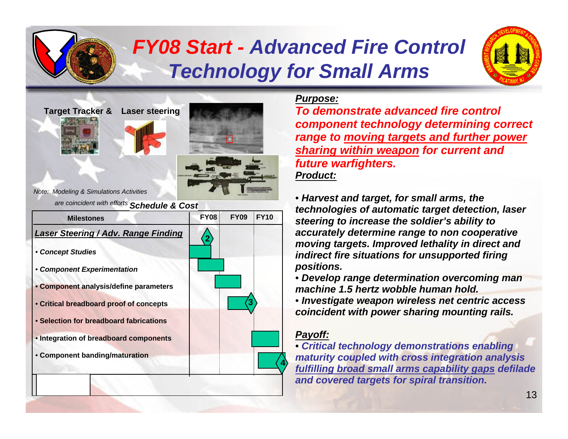## *FY08 Start - Advanced Fire Control Technology for Small Arms*



**Target Tracker & Laser steering**







*Note: Modeling & Simulations Activities* 

*Schedule & Cost are coincident with efforts*



#### *Purpose:*

**Example 2** Sharing within weak of the style of the styles of the style of the styles of the styles of the style of the style of the style of the style of the style of the style of the style of the style of the style of th <u>Purpose:</u><br>Purpose:<br>To domonstrate advanced fire son *To demonstrate advanced fire control component technology determining correct range to moving targets and further power sharing within weapon for current and Product:*

> • *Harvest and target, for small arms, the technologies of automatic target detection, laser steering to increase the soldier's ability to accurately determine range to non cooperative moving targets. Improved lethality in direct and indirect fire situations for unsupported firing positions.*

• *Develop range determination overcoming man machine 1.5 hertz wobble human hold.* 

• *Investigate weapon wireless net centric access coincident with power sharing mounting rails.* 

#### *Payoff:*

• *Critical technology demonstrations enabling maturity coupled with cross integration analysis fulfilling broad small arms capability gaps defilade and covered targets for spiral transition.*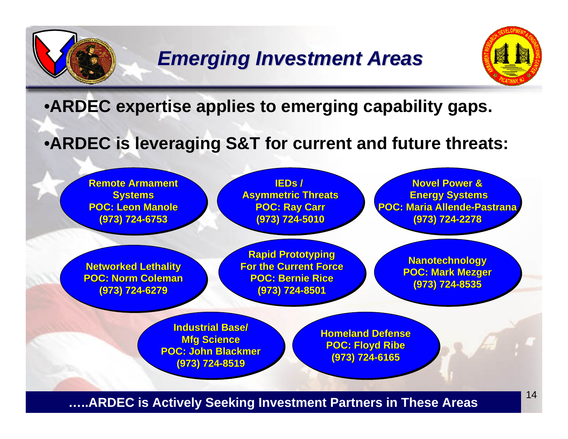



**EXECUTE:**<br>• ARDEC expertise applies to emerging capability gaps.

### Lo is identifying but for carrent and •**ARDEC is leveraging S&T for current and future threats:**



**…..ARDEC is Actively Seeking Investment Partners in These Areas**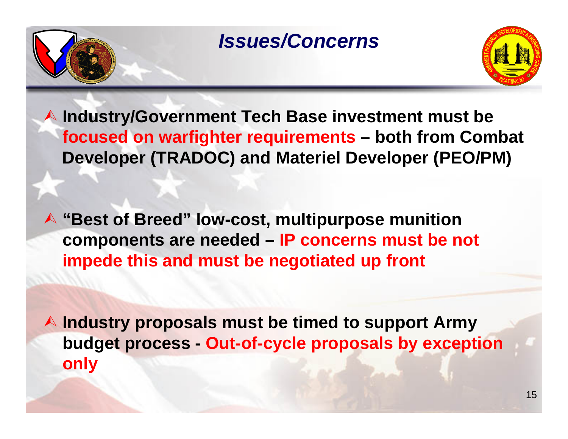Second level

*Issues/Concerns*



Developer (TRADOC) and Materiel Developer (PEO/PM) Click to edit Master title styles the styles of the Master title styles of the Master Telecometer and the Master ¿ **Industry/Government Tech Base investment must be focused on warfighter requirements – both from Combat** 

A "Best of Breed" low-cost, multipurpose munition emponents and n **components are needed – IP concerns must be not impede this and must be negotiated up front**

¿ **Industry proposals must be timed to support Army budget process - Out-of-cycle proposals by exception only**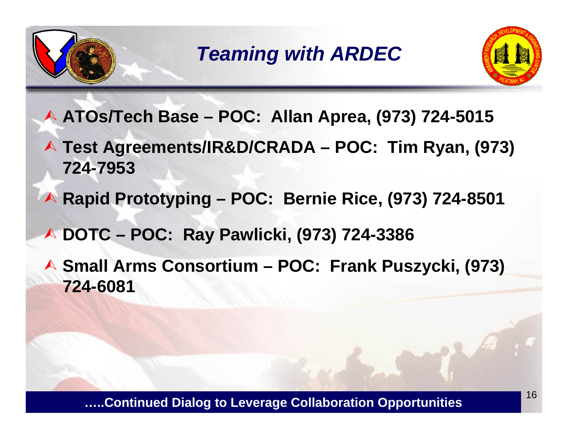



- Click to edit Master title style title style title style title style title style title style title style title ¿ **ATOs/Tech Base – POC: Allan Aprea, (973) 724-5015**
- Click to edit Master text styles ¿ **Test Agreements/IR&D/CRADA – POC: Tim Ryan, (973) 724-7953**
- Second level in the condition of the second level of the second level in the second level of the second level in the second level in the second level in the second level in the second level in the second level in the secon ¿ **Rapid Prototyping – POC: Bernie Rice, (973) 724-8501**
- This leads in the level of the level of the level of the level of the level of the level of the level of the level of the level of the level of the level of the level of the level of the level of the level of the level of ¿ **DOTC – POC: Ray Pawlicki, (973) 724-3386**
- Fourth level • Fifth level **724-6081**¿ **Small Arms Consortium – POC: Frank Puszycki, (973)**